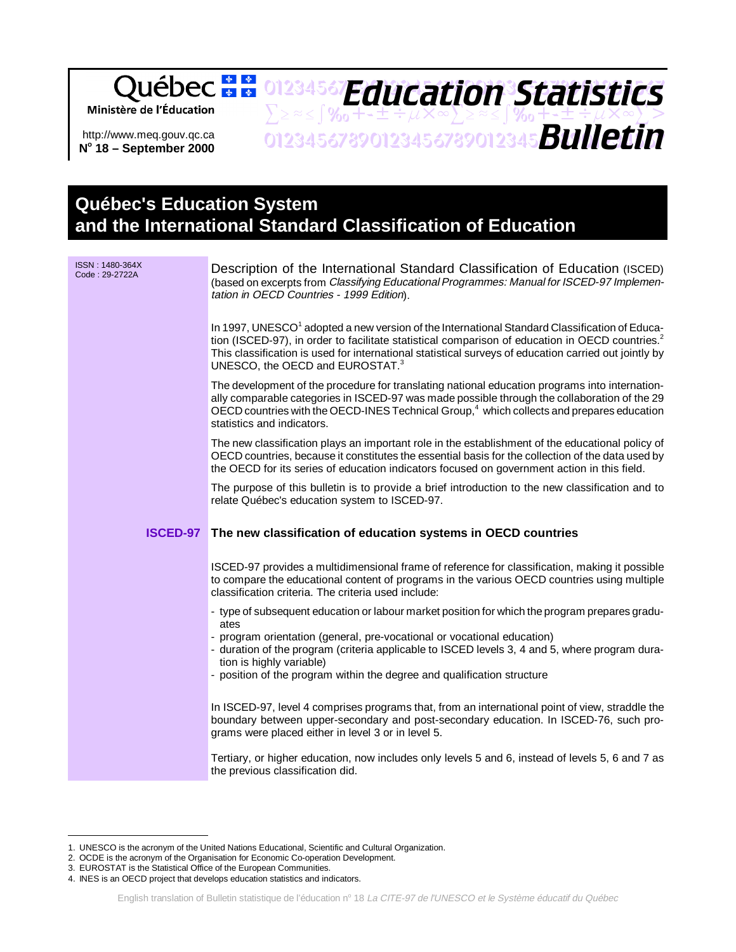## **Education Statistics** 01234567**Fducation3Statictics** Ministère de l'Éducation  $\sum z \approx 1$ % $_0$ +-±÷ $\mu$ X $\infty$  $\sum z \approx 1$ % $_0$ +-±÷ $\mu$ X $\infty$  $>$ ZZYSTY%THEFAAWZZYSTY%THEFAADA http://www.meq.gouv.qc.ca **No 18 – September 2000**

## **Québec's Education System and the International Standard Classification of Education**

| ISSN: 1480-364X<br>Code: 29-2722A | Description of the International Standard Classification of Education (ISCED)<br>(based on excerpts from Classifying Educational Programmes: Manual for ISCED-97 Implemen-<br>tation in OECD Countries - 1999 Edition).                                                                                                                                                          |
|-----------------------------------|----------------------------------------------------------------------------------------------------------------------------------------------------------------------------------------------------------------------------------------------------------------------------------------------------------------------------------------------------------------------------------|
|                                   | In 1997, UNESCO <sup>1</sup> adopted a new version of the International Standard Classification of Educa-<br>tion (ISCED-97), in order to facilitate statistical comparison of education in OECD countries. <sup>2</sup><br>This classification is used for international statistical surveys of education carried out jointly by<br>UNESCO, the OECD and EUROSTAT. <sup>3</sup> |
|                                   | The development of the procedure for translating national education programs into internation-<br>ally comparable categories in ISCED-97 was made possible through the collaboration of the 29<br>OECD countries with the OECD-INES Technical Group, <sup>4</sup> which collects and prepares education<br>statistics and indicators.                                            |
|                                   | The new classification plays an important role in the establishment of the educational policy of<br>OECD countries, because it constitutes the essential basis for the collection of the data used by<br>the OECD for its series of education indicators focused on government action in this field.                                                                             |
|                                   | The purpose of this bulletin is to provide a brief introduction to the new classification and to<br>relate Québec's education system to ISCED-97.                                                                                                                                                                                                                                |
|                                   |                                                                                                                                                                                                                                                                                                                                                                                  |
|                                   | ISCED-97 The new classification of education systems in OECD countries                                                                                                                                                                                                                                                                                                           |
|                                   | ISCED-97 provides a multidimensional frame of reference for classification, making it possible<br>to compare the educational content of programs in the various OECD countries using multiple<br>classification criteria. The criteria used include:                                                                                                                             |
|                                   | - type of subsequent education or labour market position for which the program prepares gradu-                                                                                                                                                                                                                                                                                   |
|                                   | ates<br>- program orientation (general, pre-vocational or vocational education)<br>- duration of the program (criteria applicable to ISCED levels 3, 4 and 5, where program dura-<br>tion is highly variable)<br>- position of the program within the degree and qualification structure                                                                                         |
|                                   | In ISCED-97, level 4 comprises programs that, from an international point of view, straddle the<br>boundary between upper-secondary and post-secondary education. In ISCED-76, such pro-<br>grams were placed either in level 3 or in level 5.                                                                                                                                   |

<sup>1.</sup> UNESCO is the acronym of the United Nations Educational, Scientific and Cultural Organization.

<sup>2.</sup> OCDE is the acronym of the Organisation for Economic Co-operation Development.

<sup>3.</sup> EUROSTAT is the Statistical Office of the European Communities.

<sup>4.</sup> INES is an OECD project that develops education statistics and indicators.

English translation of Bulletin statistique de l'éducation nº 18 La CITE-97 de l'UNESCO et le Système éducatif du Québec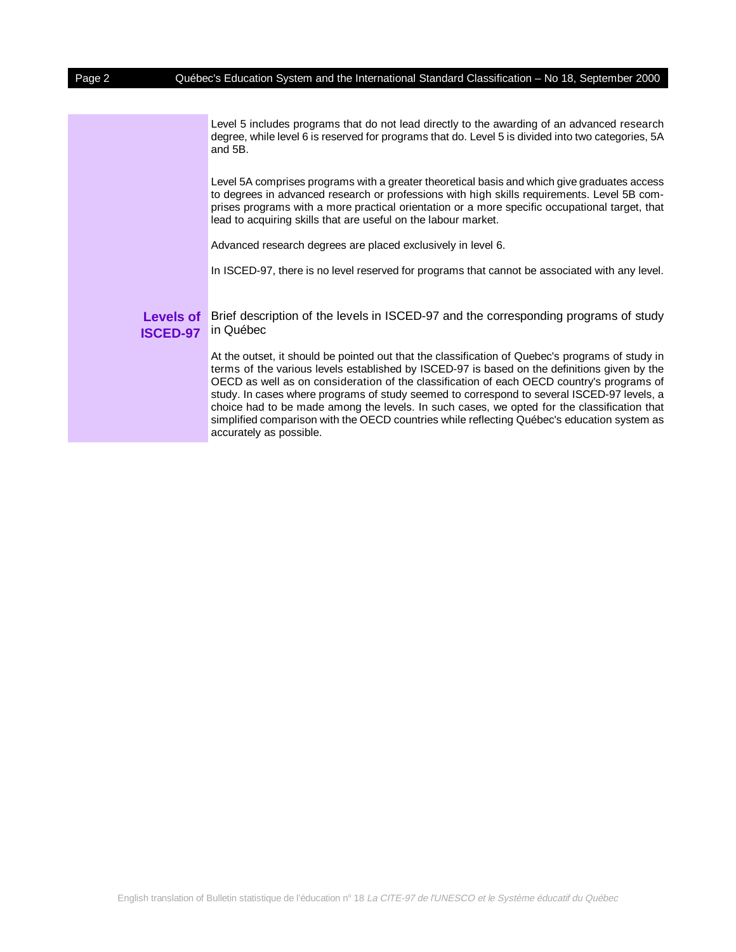Level 5 includes programs that do not lead directly to the awarding of an advanced research degree, while level 6 is reserved for programs that do. Level 5 is divided into two categories, 5A and 5B.

Level 5A comprises programs with a greater theoretical basis and which give graduates access to degrees in advanced research or professions with high skills requirements. Level 5B comprises programs with a more practical orientation or a more specific occupational target, that lead to acquiring skills that are useful on the labour market.

Advanced research degrees are placed exclusively in level 6.

In ISCED-97, there is no level reserved for programs that cannot be associated with any level.

**Levels of ISCED-97** in Québec Brief description of the levels in ISCED-97 and the corresponding programs of study

> At the outset, it should be pointed out that the classification of Quebec's programs of study in terms of the various levels established by ISCED-97 is based on the definitions given by the OECD as well as on consideration of the classification of each OECD country's programs of study. In cases where programs of study seemed to correspond to several ISCED-97 levels, a choice had to be made among the levels. In such cases, we opted for the classification that simplified comparison with the OECD countries while reflecting Québec's education system as accurately as possible.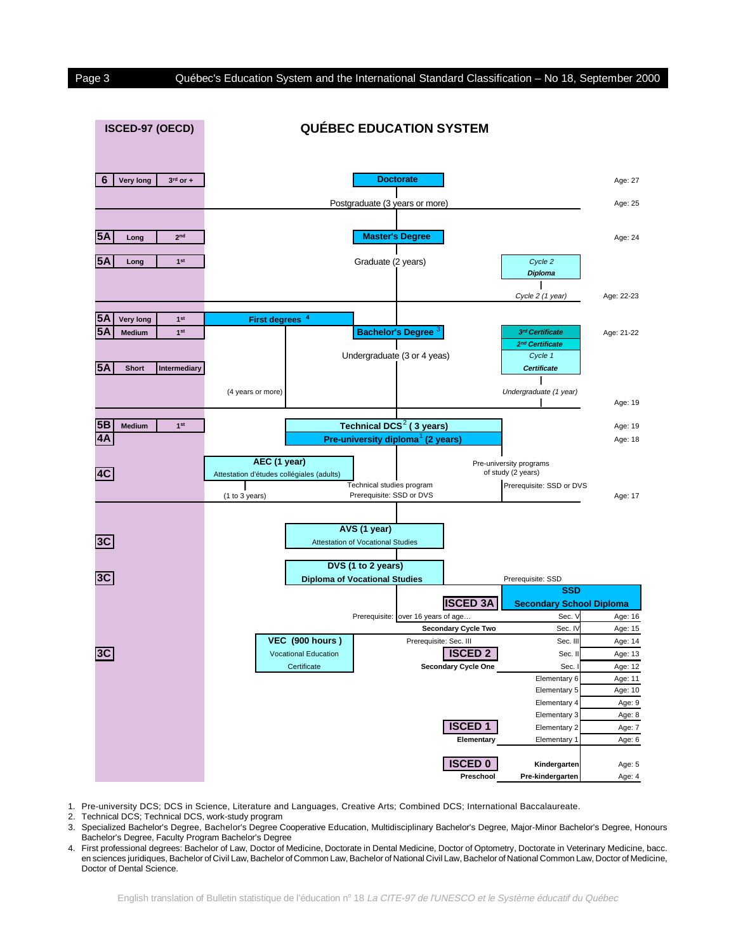

1. Pre-university DCS; DCS in Science, Literature and Languages, Creative Arts; Combined DCS; International Baccalaureate.

2. Technical DCS; Technical DCS, work-study program

- 3. Specialized Bachelor's Degree, Bachelor's Degree Cooperative Education, Multidisciplinary Bachelor's Degree, Major-Minor Bachelor's Degree, Honours Bachelor's Degree, Faculty Program Bachelor's Degree
- 4. First professional degrees: Bachelor of Law, Doctor of Medicine, Doctorate in Dental Medicine, Doctor of Optometry, Doctorate in Veterinary Medicine, bacc. en sciences juridiques, Bachelor of Civil Law, Bachelor of Common Law, Bachelor of National Civil Law, Bachelor of National Common Law, Doctor of Medicine, Doctor of Dental Science.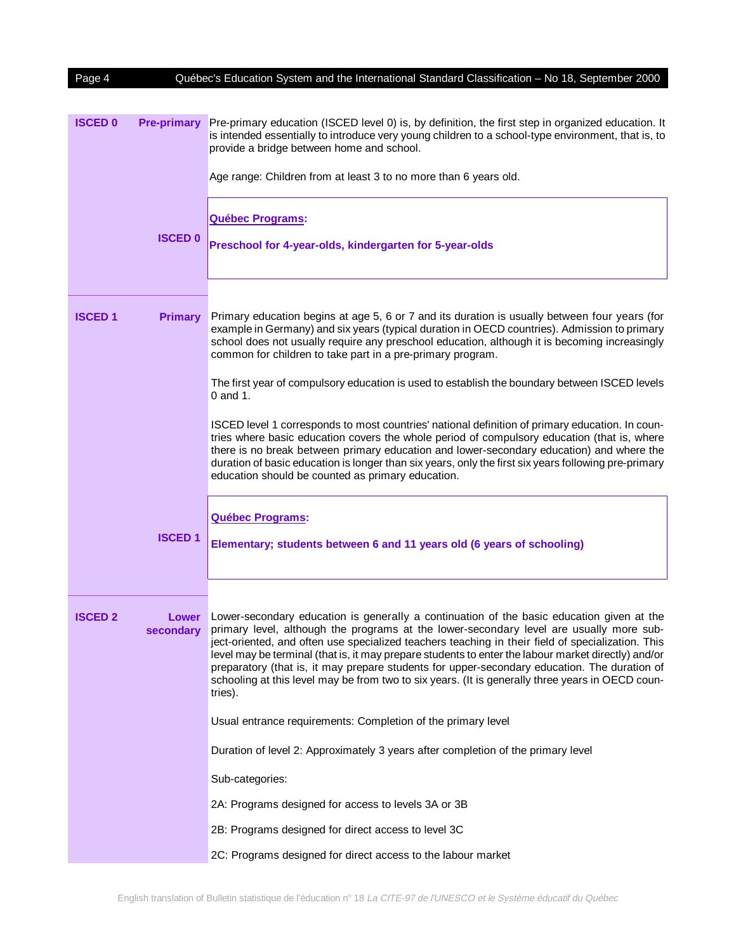| Page 4         |                    | Québec's Education System and the International Standard Classification - No 18, September 2000                                                                                                                                                                                                                                                                                                                                                                                                                                                                                                                 |
|----------------|--------------------|-----------------------------------------------------------------------------------------------------------------------------------------------------------------------------------------------------------------------------------------------------------------------------------------------------------------------------------------------------------------------------------------------------------------------------------------------------------------------------------------------------------------------------------------------------------------------------------------------------------------|
|                |                    |                                                                                                                                                                                                                                                                                                                                                                                                                                                                                                                                                                                                                 |
| <b>ISCED 0</b> | <b>Pre-primary</b> | Pre-primary education (ISCED level 0) is, by definition, the first step in organized education. It<br>is intended essentially to introduce very young children to a school-type environment, that is, to<br>provide a bridge between home and school.                                                                                                                                                                                                                                                                                                                                                           |
|                |                    | Age range: Children from at least 3 to no more than 6 years old.                                                                                                                                                                                                                                                                                                                                                                                                                                                                                                                                                |
|                |                    | <b>Québec Programs:</b>                                                                                                                                                                                                                                                                                                                                                                                                                                                                                                                                                                                         |
|                | <b>ISCED 0</b>     | Preschool for 4-year-olds, kindergarten for 5-year-olds                                                                                                                                                                                                                                                                                                                                                                                                                                                                                                                                                         |
|                |                    |                                                                                                                                                                                                                                                                                                                                                                                                                                                                                                                                                                                                                 |
| <b>ISCED1</b>  | <b>Primary</b>     | Primary education begins at age 5, 6 or 7 and its duration is usually between four years (for<br>example in Germany) and six years (typical duration in OECD countries). Admission to primary<br>school does not usually require any preschool education, although it is becoming increasingly<br>common for children to take part in a pre-primary program.                                                                                                                                                                                                                                                    |
|                |                    | The first year of compulsory education is used to establish the boundary between ISCED levels<br>$0$ and 1.                                                                                                                                                                                                                                                                                                                                                                                                                                                                                                     |
|                |                    | ISCED level 1 corresponds to most countries' national definition of primary education. In coun-<br>tries where basic education covers the whole period of compulsory education (that is, where<br>there is no break between primary education and lower-secondary education) and where the<br>duration of basic education is longer than six years, only the first six years following pre-primary<br>education should be counted as primary education.                                                                                                                                                         |
|                |                    |                                                                                                                                                                                                                                                                                                                                                                                                                                                                                                                                                                                                                 |
|                |                    | <b>Québec Programs:</b>                                                                                                                                                                                                                                                                                                                                                                                                                                                                                                                                                                                         |
|                | <b>ISCED1</b>      | Elementary; students between 6 and 11 years old (6 years of schooling)                                                                                                                                                                                                                                                                                                                                                                                                                                                                                                                                          |
|                |                    |                                                                                                                                                                                                                                                                                                                                                                                                                                                                                                                                                                                                                 |
| <b>ISCED 2</b> | Lower<br>secondary | Lower-secondary education is generally a continuation of the basic education given at the<br>primary level, although the programs at the lower-secondary level are usually more sub-<br>ject-oriented, and often use specialized teachers teaching in their field of specialization. This<br>level may be terminal (that is, it may prepare students to enter the labour market directly) and/or<br>preparatory (that is, it may prepare students for upper-secondary education. The duration of<br>schooling at this level may be from two to six years. (It is generally three years in OECD coun-<br>tries). |
|                |                    | Usual entrance requirements: Completion of the primary level                                                                                                                                                                                                                                                                                                                                                                                                                                                                                                                                                    |
|                |                    | Duration of level 2: Approximately 3 years after completion of the primary level                                                                                                                                                                                                                                                                                                                                                                                                                                                                                                                                |
|                |                    | Sub-categories:                                                                                                                                                                                                                                                                                                                                                                                                                                                                                                                                                                                                 |
|                |                    | 2A: Programs designed for access to levels 3A or 3B                                                                                                                                                                                                                                                                                                                                                                                                                                                                                                                                                             |
|                |                    | 2B: Programs designed for direct access to level 3C                                                                                                                                                                                                                                                                                                                                                                                                                                                                                                                                                             |
|                |                    | 2C: Programs designed for direct access to the labour market                                                                                                                                                                                                                                                                                                                                                                                                                                                                                                                                                    |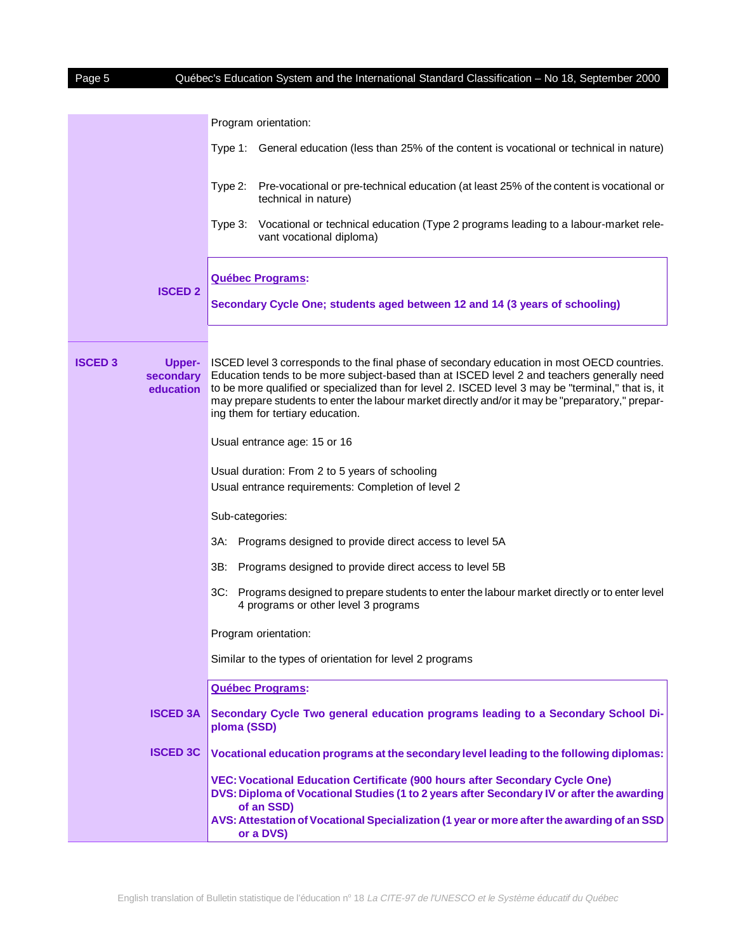| Page 5                                                    | Québec's Education System and the International Standard Classification - No 18, September 2000                                                                                                                                                                                                                                                                                                                                         |
|-----------------------------------------------------------|-----------------------------------------------------------------------------------------------------------------------------------------------------------------------------------------------------------------------------------------------------------------------------------------------------------------------------------------------------------------------------------------------------------------------------------------|
|                                                           | Program orientation:                                                                                                                                                                                                                                                                                                                                                                                                                    |
|                                                           | Type 1: General education (less than 25% of the content is vocational or technical in nature)                                                                                                                                                                                                                                                                                                                                           |
|                                                           | Pre-vocational or pre-technical education (at least 25% of the content is vocational or<br>Type 2:<br>technical in nature)                                                                                                                                                                                                                                                                                                              |
|                                                           | Vocational or technical education (Type 2 programs leading to a labour-market rele-<br>Type 3:<br>vant vocational diploma)                                                                                                                                                                                                                                                                                                              |
| <b>ISCED 2</b>                                            | <b>Québec Programs:</b><br>Secondary Cycle One; students aged between 12 and 14 (3 years of schooling)                                                                                                                                                                                                                                                                                                                                  |
| <b>ISCED 3</b><br><b>Upper-</b><br>secondary<br>education | ISCED level 3 corresponds to the final phase of secondary education in most OECD countries.<br>Education tends to be more subject-based than at ISCED level 2 and teachers generally need<br>to be more qualified or specialized than for level 2. ISCED level 3 may be "terminal," that is, it<br>may prepare students to enter the labour market directly and/or it may be "preparatory," prepar-<br>ing them for tertiary education. |
|                                                           | Usual entrance age: 15 or 16                                                                                                                                                                                                                                                                                                                                                                                                            |
|                                                           | Usual duration: From 2 to 5 years of schooling<br>Usual entrance requirements: Completion of level 2                                                                                                                                                                                                                                                                                                                                    |
|                                                           | Sub-categories:                                                                                                                                                                                                                                                                                                                                                                                                                         |
|                                                           | Programs designed to provide direct access to level 5A<br>3A:                                                                                                                                                                                                                                                                                                                                                                           |
|                                                           | 3B:<br>Programs designed to provide direct access to level 5B                                                                                                                                                                                                                                                                                                                                                                           |
|                                                           | 3C:<br>Programs designed to prepare students to enter the labour market directly or to enter level<br>4 programs or other level 3 programs                                                                                                                                                                                                                                                                                              |
|                                                           | Program orientation:                                                                                                                                                                                                                                                                                                                                                                                                                    |
|                                                           | Similar to the types of orientation for level 2 programs                                                                                                                                                                                                                                                                                                                                                                                |
|                                                           | Québec Programs:                                                                                                                                                                                                                                                                                                                                                                                                                        |
| <b>ISCED 3A</b>                                           | Secondary Cycle Two general education programs leading to a Secondary School Di-<br>ploma (SSD)                                                                                                                                                                                                                                                                                                                                         |
| <b>ISCED 3C</b>                                           | Vocational education programs at the secondary level leading to the following diplomas:                                                                                                                                                                                                                                                                                                                                                 |
|                                                           | <b>VEC: Vocational Education Certificate (900 hours after Secondary Cycle One)</b><br>DVS: Diploma of Vocational Studies (1 to 2 years after Secondary IV or after the awarding<br>of an SSD)                                                                                                                                                                                                                                           |
|                                                           | AVS: Attestation of Vocational Specialization (1 year or more after the awarding of an SSD<br>or a DVS)                                                                                                                                                                                                                                                                                                                                 |

 $\overline{\phantom{a}}$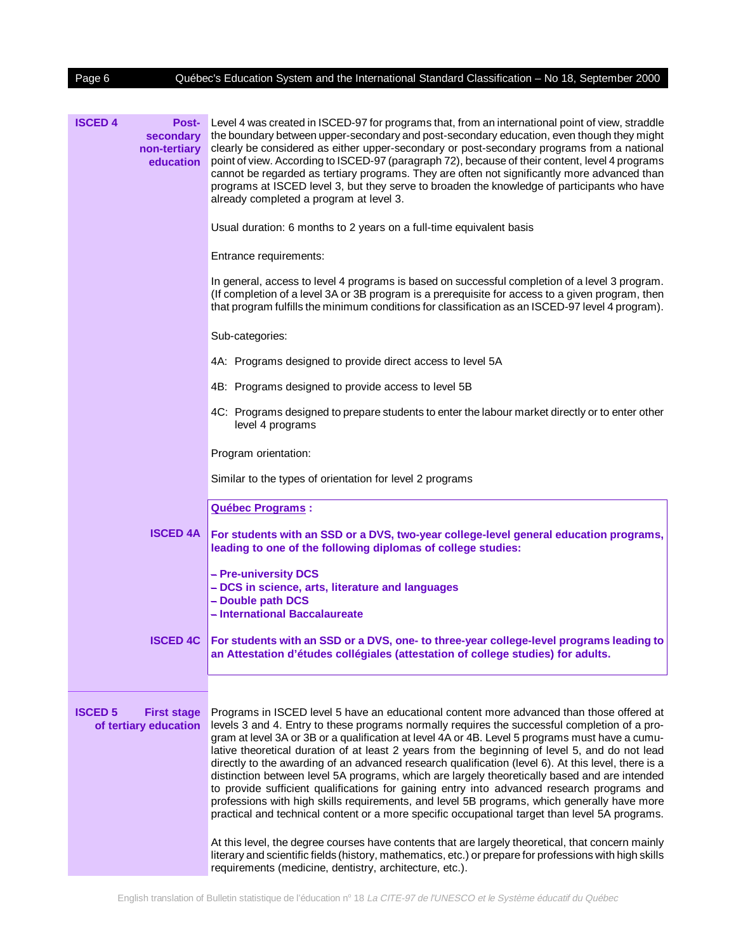| Page 6                                                                   | Québec's Education System and the International Standard Classification - No 18, September 2000                                                                                                                                                                                                                                                                                                                                                                                                                                                                                                                                                                                                                                                                                                                                                                                                        |
|--------------------------------------------------------------------------|--------------------------------------------------------------------------------------------------------------------------------------------------------------------------------------------------------------------------------------------------------------------------------------------------------------------------------------------------------------------------------------------------------------------------------------------------------------------------------------------------------------------------------------------------------------------------------------------------------------------------------------------------------------------------------------------------------------------------------------------------------------------------------------------------------------------------------------------------------------------------------------------------------|
|                                                                          |                                                                                                                                                                                                                                                                                                                                                                                                                                                                                                                                                                                                                                                                                                                                                                                                                                                                                                        |
| <b>ISCED 4</b><br><b>Post-</b><br>secondary<br>non-tertiary<br>education | Level 4 was created in ISCED-97 for programs that, from an international point of view, straddle<br>the boundary between upper-secondary and post-secondary education, even though they might<br>clearly be considered as either upper-secondary or post-secondary programs from a national<br>point of view. According to ISCED-97 (paragraph 72), because of their content, level 4 programs<br>cannot be regarded as tertiary programs. They are often not significantly more advanced than<br>programs at ISCED level 3, but they serve to broaden the knowledge of participants who have<br>already completed a program at level 3.                                                                                                                                                                                                                                                               |
|                                                                          | Usual duration: 6 months to 2 years on a full-time equivalent basis                                                                                                                                                                                                                                                                                                                                                                                                                                                                                                                                                                                                                                                                                                                                                                                                                                    |
|                                                                          | Entrance requirements:                                                                                                                                                                                                                                                                                                                                                                                                                                                                                                                                                                                                                                                                                                                                                                                                                                                                                 |
|                                                                          | In general, access to level 4 programs is based on successful completion of a level 3 program.<br>(If completion of a level 3A or 3B program is a prerequisite for access to a given program, then<br>that program fulfills the minimum conditions for classification as an ISCED-97 level 4 program).                                                                                                                                                                                                                                                                                                                                                                                                                                                                                                                                                                                                 |
|                                                                          | Sub-categories:                                                                                                                                                                                                                                                                                                                                                                                                                                                                                                                                                                                                                                                                                                                                                                                                                                                                                        |
|                                                                          | 4A: Programs designed to provide direct access to level 5A                                                                                                                                                                                                                                                                                                                                                                                                                                                                                                                                                                                                                                                                                                                                                                                                                                             |
|                                                                          | 4B: Programs designed to provide access to level 5B                                                                                                                                                                                                                                                                                                                                                                                                                                                                                                                                                                                                                                                                                                                                                                                                                                                    |
|                                                                          | 4C: Programs designed to prepare students to enter the labour market directly or to enter other<br>level 4 programs                                                                                                                                                                                                                                                                                                                                                                                                                                                                                                                                                                                                                                                                                                                                                                                    |
|                                                                          | Program orientation:                                                                                                                                                                                                                                                                                                                                                                                                                                                                                                                                                                                                                                                                                                                                                                                                                                                                                   |
|                                                                          | Similar to the types of orientation for level 2 programs                                                                                                                                                                                                                                                                                                                                                                                                                                                                                                                                                                                                                                                                                                                                                                                                                                               |
|                                                                          | Québec Programs :                                                                                                                                                                                                                                                                                                                                                                                                                                                                                                                                                                                                                                                                                                                                                                                                                                                                                      |
| <b>ISCED 4A</b>                                                          | For students with an SSD or a DVS, two-year college-level general education programs,<br>leading to one of the following diplomas of college studies:                                                                                                                                                                                                                                                                                                                                                                                                                                                                                                                                                                                                                                                                                                                                                  |
|                                                                          | - Pre-university DCS<br>- DCS in science, arts, literature and languages<br>- Double path DCS<br>- International Baccalaureate                                                                                                                                                                                                                                                                                                                                                                                                                                                                                                                                                                                                                                                                                                                                                                         |
| <b>ISCED 4C</b>                                                          | For students with an SSD or a DVS, one- to three-year college-level programs leading to<br>an Attestation d'études collégiales (attestation of college studies) for adults.                                                                                                                                                                                                                                                                                                                                                                                                                                                                                                                                                                                                                                                                                                                            |
|                                                                          |                                                                                                                                                                                                                                                                                                                                                                                                                                                                                                                                                                                                                                                                                                                                                                                                                                                                                                        |
| <b>ISCED 5</b><br><b>First stage</b><br>of tertiary education            | Programs in ISCED level 5 have an educational content more advanced than those offered at<br>levels 3 and 4. Entry to these programs normally requires the successful completion of a pro-<br>gram at level 3A or 3B or a qualification at level 4A or 4B. Level 5 programs must have a cumu-<br>lative theoretical duration of at least 2 years from the beginning of level 5, and do not lead<br>directly to the awarding of an advanced research qualification (level 6). At this level, there is a<br>distinction between level 5A programs, which are largely theoretically based and are intended<br>to provide sufficient qualifications for gaining entry into advanced research programs and<br>professions with high skills requirements, and level 5B programs, which generally have more<br>practical and technical content or a more specific occupational target than level 5A programs. |
|                                                                          | At this level, the degree courses have contents that are largely theoretical, that concern mainly<br>literary and scientific fields (history, mathematics, etc.) or prepare for professions with high skills<br>requirements (medicine, dentistry, architecture, etc.).                                                                                                                                                                                                                                                                                                                                                                                                                                                                                                                                                                                                                                |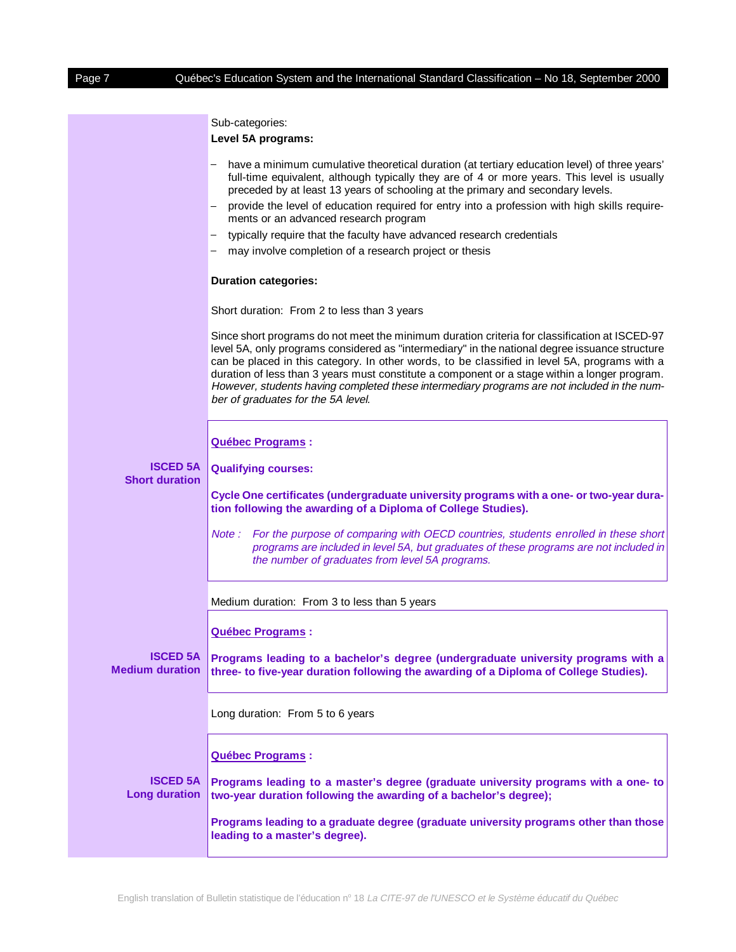Sub-categories:

**Level 5A programs:** 6

|                                           | have a minimum cumulative theoretical duration (at tertiary education level) of three years'<br>full-time equivalent, although typically they are of 4 or more years. This level is usually<br>preceded by at least 13 years of schooling at the primary and secondary levels.                                                                                                                                                                                                                                                         |
|-------------------------------------------|----------------------------------------------------------------------------------------------------------------------------------------------------------------------------------------------------------------------------------------------------------------------------------------------------------------------------------------------------------------------------------------------------------------------------------------------------------------------------------------------------------------------------------------|
|                                           | provide the level of education required for entry into a profession with high skills require-<br>ments or an advanced research program                                                                                                                                                                                                                                                                                                                                                                                                 |
|                                           | typically require that the faculty have advanced research credentials                                                                                                                                                                                                                                                                                                                                                                                                                                                                  |
|                                           | may involve completion of a research project or thesis                                                                                                                                                                                                                                                                                                                                                                                                                                                                                 |
|                                           | <b>Duration categories:</b>                                                                                                                                                                                                                                                                                                                                                                                                                                                                                                            |
|                                           | Short duration: From 2 to less than 3 years                                                                                                                                                                                                                                                                                                                                                                                                                                                                                            |
|                                           | Since short programs do not meet the minimum duration criteria for classification at ISCED-97<br>level 5A, only programs considered as "intermediary" in the national degree issuance structure<br>can be placed in this category. In other words, to be classified in level 5A, programs with a<br>duration of less than 3 years must constitute a component or a stage within a longer program.<br>However, students having completed these intermediary programs are not included in the num-<br>ber of graduates for the 5A level. |
|                                           | <b>Québec Programs:</b>                                                                                                                                                                                                                                                                                                                                                                                                                                                                                                                |
| <b>ISCED 5A</b>                           | <b>Qualifying courses:</b>                                                                                                                                                                                                                                                                                                                                                                                                                                                                                                             |
| <b>Short duration</b>                     |                                                                                                                                                                                                                                                                                                                                                                                                                                                                                                                                        |
|                                           | Cycle One certificates (undergraduate university programs with a one- or two-year dura-<br>tion following the awarding of a Diploma of College Studies).                                                                                                                                                                                                                                                                                                                                                                               |
|                                           | Note: For the purpose of comparing with OECD countries, students enrolled in these short<br>programs are included in level 5A, but graduates of these programs are not included in<br>the number of graduates from level 5A programs.                                                                                                                                                                                                                                                                                                  |
|                                           | Medium duration: From 3 to less than 5 years                                                                                                                                                                                                                                                                                                                                                                                                                                                                                           |
|                                           | Québec Programs :                                                                                                                                                                                                                                                                                                                                                                                                                                                                                                                      |
| <b>ISCED 5A</b><br><b>Medium duration</b> | Programs leading to a bachelor's degree (undergraduate university programs with a<br>three- to five-year duration following the awarding of a Diploma of College Studies).                                                                                                                                                                                                                                                                                                                                                             |
|                                           | Long duration: From 5 to 6 years                                                                                                                                                                                                                                                                                                                                                                                                                                                                                                       |
|                                           | <b>Québec Programs:</b>                                                                                                                                                                                                                                                                                                                                                                                                                                                                                                                |
| <b>ISCED 5A</b><br><b>Long duration</b>   | Programs leading to a master's degree (graduate university programs with a one- to<br>two-year duration following the awarding of a bachelor's degree);                                                                                                                                                                                                                                                                                                                                                                                |
|                                           | Programs leading to a graduate degree (graduate university programs other than those<br>leading to a master's degree).                                                                                                                                                                                                                                                                                                                                                                                                                 |
|                                           |                                                                                                                                                                                                                                                                                                                                                                                                                                                                                                                                        |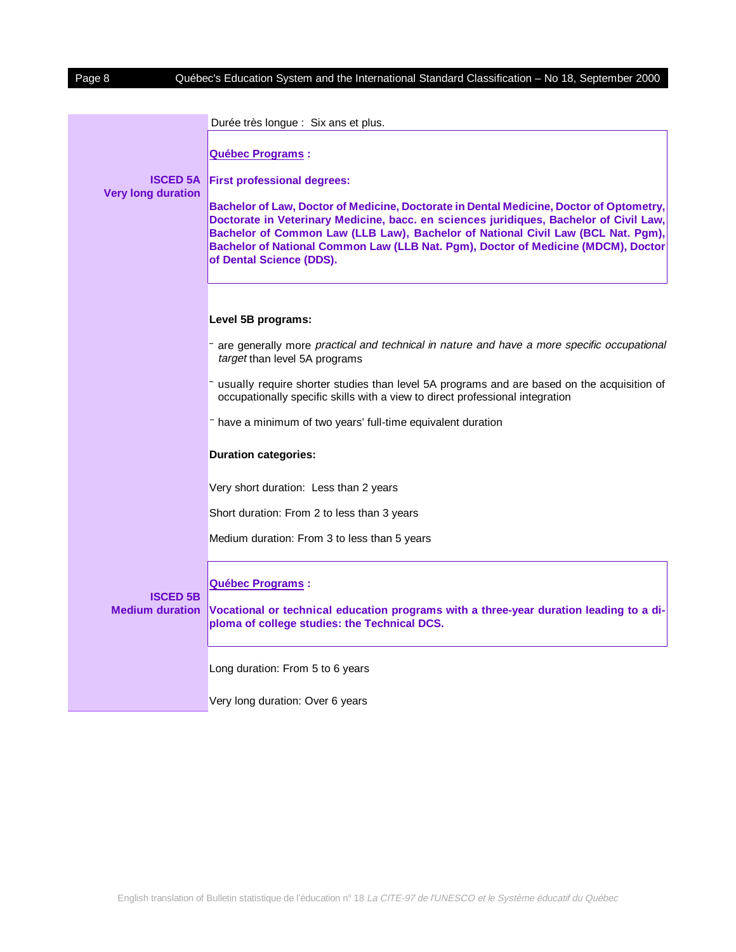|                                              | Durée très longue : Six ans et plus.                                                                                                                                                                                                                                                                                                                                                   |
|----------------------------------------------|----------------------------------------------------------------------------------------------------------------------------------------------------------------------------------------------------------------------------------------------------------------------------------------------------------------------------------------------------------------------------------------|
|                                              | Québec Programs :                                                                                                                                                                                                                                                                                                                                                                      |
| <b>ISCED 5A</b><br><b>Very long duration</b> | <b>First professional degrees:</b>                                                                                                                                                                                                                                                                                                                                                     |
|                                              | Bachelor of Law, Doctor of Medicine, Doctorate in Dental Medicine, Doctor of Optometry,<br>Doctorate in Veterinary Medicine, bacc. en sciences juridiques, Bachelor of Civil Law,<br>Bachelor of Common Law (LLB Law), Bachelor of National Civil Law (BCL Nat. Pgm),<br>Bachelor of National Common Law (LLB Nat. Pgm), Doctor of Medicine (MDCM), Doctor<br>of Dental Science (DDS). |
|                                              |                                                                                                                                                                                                                                                                                                                                                                                        |
|                                              | Level 5B programs:                                                                                                                                                                                                                                                                                                                                                                     |
|                                              | - are generally more practical and technical in nature and have a more specific occupational<br>target than level 5A programs                                                                                                                                                                                                                                                          |
|                                              | - usually require shorter studies than level 5A programs and are based on the acquisition of<br>occupationally specific skills with a view to direct professional integration                                                                                                                                                                                                          |
|                                              | have a minimum of two years' full-time equivalent duration                                                                                                                                                                                                                                                                                                                             |
|                                              | <b>Duration categories:</b>                                                                                                                                                                                                                                                                                                                                                            |
|                                              | Very short duration: Less than 2 years                                                                                                                                                                                                                                                                                                                                                 |
|                                              | Short duration: From 2 to less than 3 years                                                                                                                                                                                                                                                                                                                                            |
|                                              | Medium duration: From 3 to less than 5 years                                                                                                                                                                                                                                                                                                                                           |
|                                              | Québec Programs :                                                                                                                                                                                                                                                                                                                                                                      |
| <b>ISCED 5B</b><br><b>Medium duration</b>    | Vocational or technical education programs with a three-year duration leading to a di-<br>ploma of college studies: the Technical DCS.                                                                                                                                                                                                                                                 |
|                                              | Long duration: From 5 to 6 years                                                                                                                                                                                                                                                                                                                                                       |
|                                              | Very long duration: Over 6 years                                                                                                                                                                                                                                                                                                                                                       |